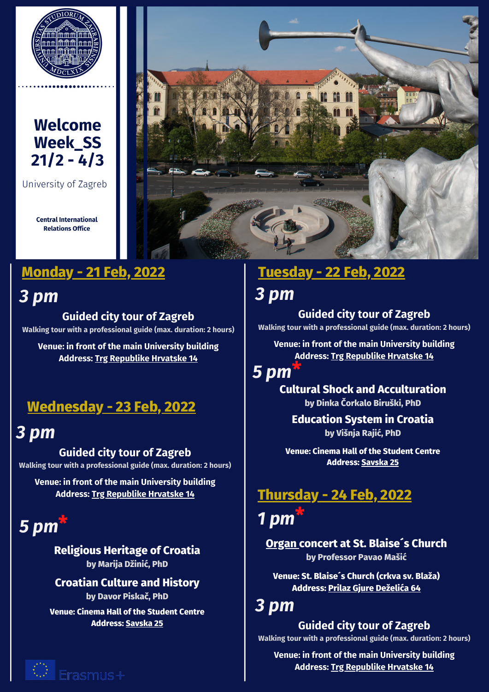

### **Welcome Week SS**  $21/2 - 4/3$

University of Zagreb

**Central International Relations Office** 

*3 pm*

**Guided city tour of Zagreb Walking tour with a professional guide (max. duration: 2 hours)**

**Venue: in front of the main University building Address: Trg [Republike](https://www.google.com/maps/place/45%C2%B048) Hrvatske 14**

## **Wednesday - 23 Feb, 2022**

## *3 pm*

**Guided city tour of Zagreb Walking tour with a professional guide (max. duration: 2 hours)**

**Venue: in front of the main University building Address: Trg [Republike](https://www.google.com/maps/place/45%C2%B048) Hrvatske 14**

#### *5 pm* **\***

**Religious Heritage of Croatia by Marija Džinić, PhD**

**Croatian Culture and History by Davor Piskač, PhD**

**Venue: Cinema Hall of the Student Centre Address: [Savska](https://www.google.com/maps/place/Kino+SC/@45.8035369,15.966488,15z/data=!4m2!3m1!1s0x0:0x9003e82b4073514?sa=X&ved=2ahUKEwjnnc6J6P71AhVeR_EDHfOJDGIQ_BJ6BAg8EAU) 25**





### **Monday - 21 Feb, 2022 Tuesday - 22 Feb, 2022**

## *3 pm*

**Guided city tour of Zagreb Walking tour with a professional guide (max. duration: 2 hours)**

**Venue: in front of the main University building Address: Trg [Republike](https://www.google.com/maps/place/45%C2%B048) Hrvatske 14**

#### *5 pm* **\***

**Cultural Shock and Acculturation by Dinka Čorkalo Biruški, PhD**

### **Education System in Croatia by Višnja Rajić, PhD**

**Venue: Cinema Hall of the Student Centre Address: [Savska](https://www.google.com/maps/place/Kino+SC/@45.8035369,15.966488,15z/data=!4m5!3m4!1s0x0:0x9003e82b4073514!8m2!3d45.8035369!4d15.966488) 25**

### **Thursday - 24 Feb, 2022 \***

# *1 pm*

**[Organ](https://www.youtube.com/watch?v=cfXDIfWe-cU) concert at St. Blaise´s Church by Professor Pavao Mašić**

**Venue: St. Blaise´s Church (crkva sv. Blaža) Address: Prilaz Gjure [Deželića](https://www.google.com/maps/place/Sveti+Bla%C5%BE/@45.8105543,15.9614535,452m/data=!3m1!1e3!4m13!1m7!3m6!1s0x4765d6e4a98dcbcf:0x1d8e6c429d8c8823!2sTrg+Republike+Hrvatske+14,+10000,+Zagreb!3b1!8m2!3d45.8107028!4d15.9698027!3m4!1s0x4765d6e72710406b:0x3d0a81c9c250823!8m2!3d45.8109774!4d15.9606139) 64**

### *3 pm*

**Guided city tour of Zagreb Walking tour with a professional guide (max. duration: 2 hours)**

**Venue: in front of the main University building Address: Trg [Republike](https://www.google.com/maps/place/45%C2%B048) Hrvatske 14**